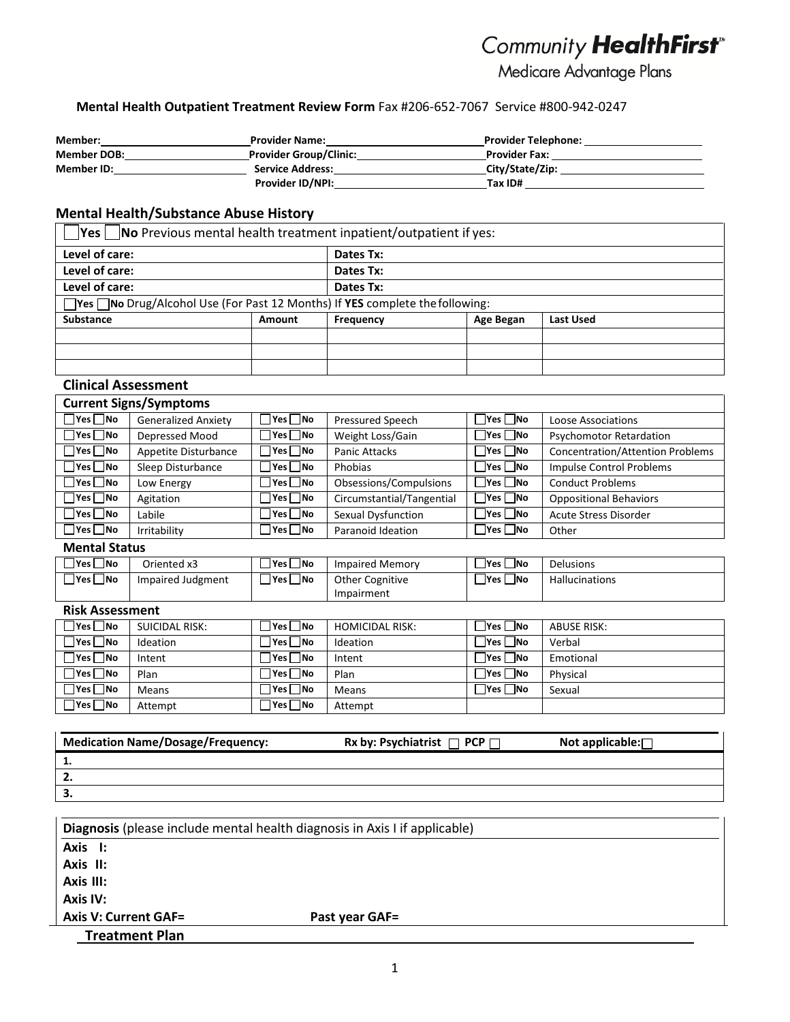# Community HealthFirst

Medicare Advantage Plans

#### **Mental Health Outpatient Treatment Review Form** Fax #206‐652‐7067 Service #800‐942‐0247

| Member:            | <b>Provider Name:</b>         | <b>Provider Telephone:</b> |  |
|--------------------|-------------------------------|----------------------------|--|
| <b>Member DOB:</b> | <b>Provider Group/Clinic:</b> | <b>Provider Fax:</b>       |  |
| <b>Member ID:</b>  | <b>Service Address:</b>       | City/State/Zip:            |  |
|                    | <b>Provider ID/NPI:</b>       | Tax ID#                    |  |

### **Mental Health/Substance Abuse History**

| No Previous mental health treatment inpatient/outpatient if yes:<br> Yes                  |               |           |           |           |  |
|-------------------------------------------------------------------------------------------|---------------|-----------|-----------|-----------|--|
| Level of care:                                                                            |               | Dates Tx: |           |           |  |
| Level of care:                                                                            |               | Dates Tx: |           |           |  |
| Level of care:                                                                            |               | Dates Tx: |           |           |  |
| $\Box$ Yes $\Box$ No Drug/Alcohol Use (For Past 12 Months) If YES complete the following: |               |           |           |           |  |
| <b>Substance</b>                                                                          | <b>Amount</b> | Frequency | Age Began | Last Used |  |
|                                                                                           |               |           |           |           |  |
|                                                                                           |               |           |           |           |  |
|                                                                                           |               |           |           |           |  |

| <b>Clinical Assessment</b> |                               |                          |                           |                      |                                         |
|----------------------------|-------------------------------|--------------------------|---------------------------|----------------------|-----------------------------------------|
|                            | <b>Current Signs/Symptoms</b> |                          |                           |                      |                                         |
| $\square$ Yes $\square$ No | <b>Generalized Anxiety</b>    | $\Box$ Yes $\Box$ No     | <b>Pressured Speech</b>   | $\Box$ Yes $\Box$ No | Loose Associations                      |
| $\square$ Yes $\square$ No | Depressed Mood                | $\Box$ Yes $\Box$ No     | Weight Loss/Gain          | $\Box$ Yes $\Box$ No | <b>Psychomotor Retardation</b>          |
| $\square$ Yes $\square$ No | Appetite Disturbance          | $\Box$ Yes $\Box$ No     | <b>Panic Attacks</b>      | $\Box$ Yes $\Box$ No | <b>Concentration/Attention Problems</b> |
| $\Box$ Yes $\Box$ No       | Sleep Disturbance             | $\Box$ Yes $\Box$ No     | Phobias                   | $\Box$ Yes $\Box$ No | <b>Impulse Control Problems</b>         |
| $T$ Yes $\Box$ No          | Low Energy                    | $\Box$ Yes $\Box$ No     | Obsessions/Compulsions    | $\n  Yes\n  No\n$    | <b>Conduct Problems</b>                 |
| $\Box$ Yes $\Box$ No       | Agitation                     | ∏Yes ∏No                 | Circumstantial/Tangential | $\Box$ Yes $\Box$ No | <b>Oppositional Behaviors</b>           |
| $\square$ Yes $\square$ No | Labile                        | ∃Yes □No                 | Sexual Dysfunction        | $\Box$ Yes $\Box$ No | <b>Acute Stress Disorder</b>            |
| $\square$ Yes $\square$ No | Irritability                  | $\sqcap$ Yes $\sqcap$ No | Paranoid Ideation         | $\Box$ Yes $\Box$ No | Other                                   |

**Mental Status**

| $ Yes $ No | Oriented x3       | <sup>∣</sup> Yes ∐No | <b>Impaired Memory</b> | $Yes \Box No$     | <b>Delusions</b>      |
|------------|-------------------|----------------------|------------------------|-------------------|-----------------------|
| Yes ⊿No    | Impaired Judgment | <b>INo</b><br> Yes   | <b>Other Cognitive</b> | _No<br><b>Yes</b> | <b>Hallucinations</b> |
|            |                   |                      | Impairment             |                   |                       |

| <b>Risk Assessment</b> |                |                      |                        |                      |             |
|------------------------|----------------|----------------------|------------------------|----------------------|-------------|
| $\Box$ Yes $\Box$ No   | SUICIDAL RISK: | $\Box$ Yes $\Box$ No | <b>HOMICIDAL RISK:</b> | $\Box$ Yes $\Box$ No | ABUSE RISK: |
| $\Box$ Yes $\Box$ No   | Ideation       | $\Box$ Yes $\Box$ No | Ideation               | Yes   No             | Verbal      |
| $\Box$ Yes $\Box$ No   | Intent         | $\Box$ Yes $\Box$ No | Intent                 | $\neg$ Yes $\neg$ No | Emotional   |
| $\Box$ Yes $\Box$ No   | Plan           | $\Box$ Yes $\Box$ No | Plan                   | Yes No               | Physical    |
| $\Box$ Yes $\Box$ No   | Means          | $\Box$ Yes $\Box$ No | <b>Means</b>           | $\neg$ Yes $\neg$ No | Sexual      |
| $\Box$ Yes $\Box$ No   | Attempt        | $\Box$ Yes $\Box$ No | Attempt                |                      |             |

| <b>Medication Name/Dosage/Frequency:</b> | Rx by: Psychiatrist $\Box$ PCP $\Box$ | Not applicable: $\Box$ |
|------------------------------------------|---------------------------------------|------------------------|
| . .                                      |                                       |                        |
| <u>.</u>                                 |                                       |                        |
| -3.                                      |                                       |                        |

| Diagnosis (please include mental health diagnosis in Axis I if applicable) |                       |  |  |
|----------------------------------------------------------------------------|-----------------------|--|--|
| Axis I:                                                                    |                       |  |  |
| Axis II:                                                                   |                       |  |  |
| Axis III:                                                                  |                       |  |  |
| Axis IV:                                                                   |                       |  |  |
| <b>Axis V: Current GAF=</b>                                                | <b>Past year GAF=</b> |  |  |
| <b>Treatment Plan</b>                                                      |                       |  |  |